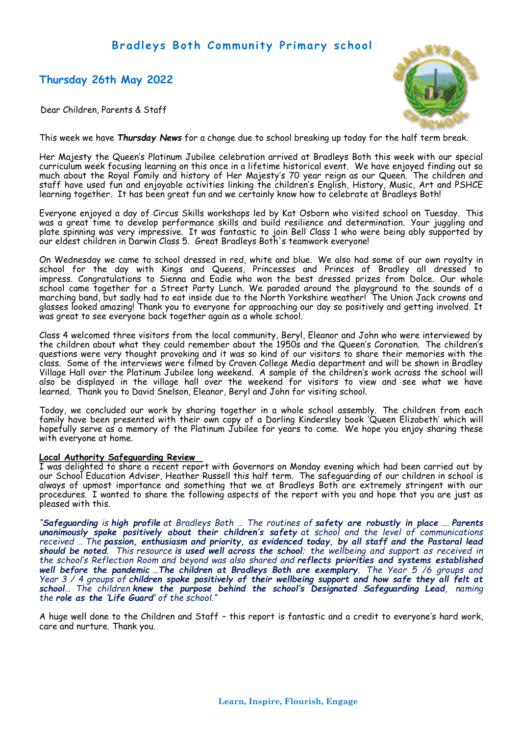# **Bradleys Both Community Primary school**

# **Thursday 26th May 2022**



Dear Children, Parents & Staff

This week we have *Thursday News* for a change due to school breaking up today for the half term break.

Her Majesty the Queen's Platinum Jubilee celebration arrived at Bradleys Both this week with our special curriculum week focusing learning on this once in a lifetime historical event. We have enjoyed finding out so much about the Royal Family and history of Her Majesty's 70 year reign as our Queen. The children and staff have used fun and enjoyable activities linking the children's English, History, Music, Art and PSHCE learning together. It has been great fun and we certainly know how to celebrate at Bradleys Both!

Everyone enjoyed a day of Circus Skills workshops led by Kat Osborn who visited school on Tuesday. This was a great time to develop performance skills and build resilience and determination. Your juggling and plate spinning was very impressive. It was fantastic to join Bell Class 1 who were being ably supported by our eldest children in Darwin Class 5. Great Bradleys Both's teamwork everyone!

On Wednesday we came to school dressed in red, white and blue. We also had some of our own royalty in school for the day with Kings and Queens, Princesses and Princes of Bradley all dressed to impress. Congratulations to Sienna and Eadie who won the best dressed prizes from Dolce. Our whole school came together for a Street Party Lunch. We paraded around the playground to the sounds of a marching band, but sadly had to eat inside due to the North Yorkshire weather! The Union Jack crowns and glasses looked amazing! Thank you to everyone for approaching our day so positively and getting involved. It was great to see everyone back together again as a whole school.

Class 4 welcomed three visitors from the local community, Beryl, Eleanor and John who were interviewed by the children about what they could remember about the 1950s and the Queen's Coronation. The children's questions were very thought provoking and it was so kind of our visitors to share their memories with the class. Some of the interviews were filmed by Craven College Media department and will be shown in Bradley Village Hall over the Platinum Jubilee long weekend. A sample of the children's work across the school will also be displayed in the village hall over the weekend for visitors to view and see what we have learned. Thank you to David Snelson, Eleanor, Beryl and John for visiting school.

Today, we concluded our work by sharing together in a whole school assembly. The children from each family have been presented with their own copy of a Dorling Kindersley book 'Queen Elizabeth' which will hopefully serve as a memory of the Platinum Jubilee for years to come. We hope you enjoy sharing these with everyone at home.

## **Local Authority Safeguarding Review**

I was delighted to share a recent report with Governors on Monday evening which had been carried out by our School Education Adviser, Heather Russell this half term. The safeguarding of our children in school is always of upmost importance and something that we at Bradleys Both are extremely stringent with our procedures. I wanted to share the following aspects of the report with you and hope that you are just as pleased with this.

*"Safeguarding is high profile at Bradleys Both … The routines of safety are robustly in place …. Parents unanimously spoke positively about their children's safety at school and the level of communications received … The passion, enthusiasm and priority, as evidenced today, by all staff and the Pastoral lead should be noted. This resource is used well across the school; the wellbeing and support as received in the school's Reflection Room and beyond was also shared and reflects priorities and systems established well before the pandemic …The children at Bradleys Both are exemplary. The Year 5 /6 groups and Year 3 / 4 groups of children spoke positively of their wellbeing support and how safe they all felt at school… The children knew the purpose behind the school's Designated Safeguarding Lead, naming the role as the 'Life Guard' of the school."*

A huge well done to the Children and Staff – this report is fantastic and a credit to everyone's hard work, care and nurture. Thank you.